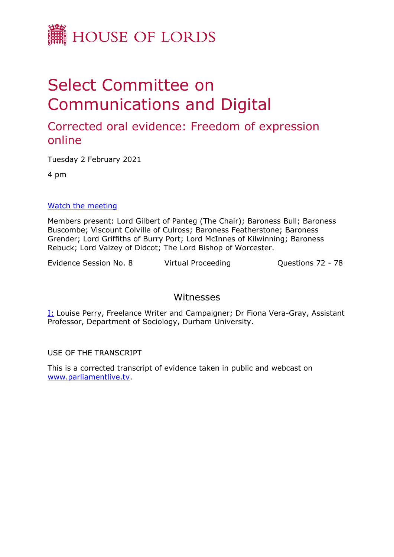

# Select Committee on Communications and Digital

# Corrected oral evidence: Freedom of expression online

Tuesday 2 February 2021

4 pm

#### [Watch](https://parliamentlive.tv/event/index/de26f2e6-4066-4524-81f9-284de191270b) [the](https://parliamentlive.tv/event/index/de26f2e6-4066-4524-81f9-284de191270b) [meeting](https://parliamentlive.tv/event/index/de26f2e6-4066-4524-81f9-284de191270b)

Members present: Lord Gilbert of Panteg (The Chair); Baroness Bull; Baroness Buscombe; Viscount Colville of Culross; Baroness Featherstone; Baroness Grender; Lord Griffiths of Burry Port; Lord McInnes of Kilwinning; Baroness Rebuck; Lord Vaizey of Didcot; The Lord Bishop of Worcester.

Evidence Session No. 8 Virtual Proceeding Cuestions 72 - 78

## Witnesses

I: Louise Perry, Freelance Writer and Campaigner; Dr Fiona Vera-Gray, Assistant Professor, Department of Sociology, Durham University.

USE OF THE TRANSCRIPT

This is a corrected transcript of evidence taken in public and webcast on [www.parliamentlive.tv](http://www.parliamentlive.tv/).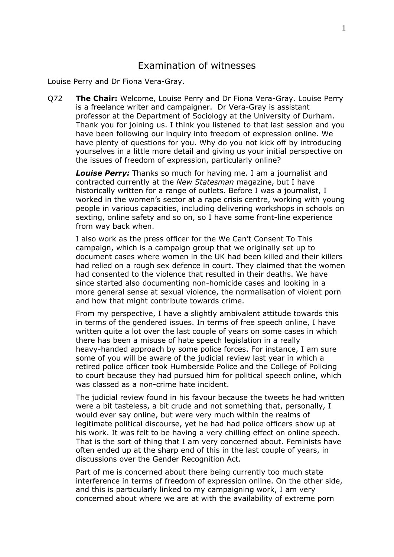### Examination of witnesses

Louise Perry and Dr Fiona Vera-Gray.

Q72 **The Chair:** Welcome, Louise Perry and Dr Fiona Vera-Gray. Louise Perry is a freelance writer and campaigner. Dr Vera-Gray is assistant professor at the Department of Sociology at the University of Durham. Thank you for joining us. I think you listened to that last session and you have been following our inquiry into freedom of expression online. We have plenty of questions for you. Why do you not kick off by introducing yourselves in a little more detail and giving us your initial perspective on the issues of freedom of expression, particularly online?

*Louise Perry:* Thanks so much for having me. I am a journalist and contracted currently at the *New Statesman* magazine, but I have historically written for a range of outlets. Before I was a journalist, I worked in the women's sector at a rape crisis centre, working with young people in various capacities, including delivering workshops in schools on sexting, online safety and so on, so I have some front-line experience from way back when.

I also work as the press officer for the We Can't Consent To This campaign, which is a campaign group that we originally set up to document cases where women in the UK had been killed and their killers had relied on a rough sex defence in court. They claimed that the women had consented to the violence that resulted in their deaths. We have since started also documenting non-homicide cases and looking in a more general sense at sexual violence, the normalisation of violent porn and how that might contribute towards crime.

From my perspective, I have a slightly ambivalent attitude towards this in terms of the gendered issues. In terms of free speech online, I have written quite a lot over the last couple of years on some cases in which there has been a misuse of hate speech legislation in a really heavy-handed approach by some police forces. For instance, I am sure some of you will be aware of the judicial review last year in which a retired police officer took Humberside Police and the College of Policing to court because they had pursued him for political speech online, which was classed as a non-crime hate incident.

The judicial review found in his favour because the tweets he had written were a bit tasteless, a bit crude and not something that, personally, I would ever say online, but were very much within the realms of legitimate political discourse, yet he had had police officers show up at his work. It was felt to be having a very chilling effect on online speech. That is the sort of thing that I am very concerned about. Feminists have often ended up at the sharp end of this in the last couple of years, in discussions over the Gender Recognition Act.

Part of me is concerned about there being currently too much state interference in terms of freedom of expression online. On the other side, and this is particularly linked to my campaigning work, I am very concerned about where we are at with the availability of extreme porn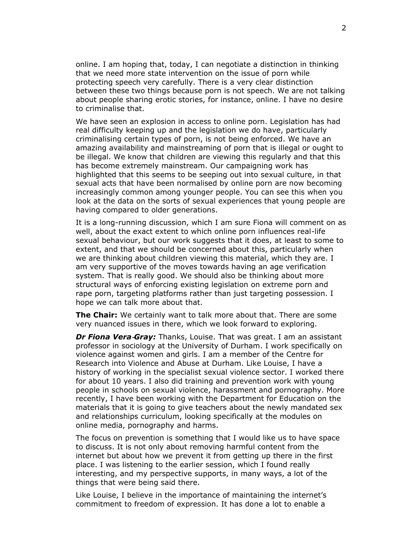online. I am hoping that, today, I can negotiate a distinction in thinking that we need more state intervention on the issue of porn while protecting speech very carefully. There is a very clear distinction between these two things because porn is not speech. We are not talking about people sharing erotic stories, for instance, online. I have no desire to criminalise that.

We have seen an explosion in access to online porn. Legislation has had real difficulty keeping up and the legislation we do have, particularly criminalising certain types of porn, is not being enforced. We have an amazing availability and mainstreaming of porn that is illegal or ought to be illegal. We know that children are viewing this regularly and that this has become extremely mainstream. Our campaigning work has highlighted that this seems to be seeping out into sexual culture, in that sexual acts that have been normalised by online porn are now becoming increasingly common among younger people. You can see this when you look at the data on the sorts of sexual experiences that young people are having compared to older generations.

It is a long-running discussion, which I am sure Fiona will comment on as well, about the exact extent to which online porn influences real-life sexual behaviour, but our work suggests that it does, at least to some to extent, and that we should be concerned about this, particularly when we are thinking about children viewing this material, which they are. I am very supportive of the moves towards having an age verification system. That is really good. We should also be thinking about more structural ways of enforcing existing legislation on extreme porn and rape porn, targeting platforms rather than just targeting possession. I hope we can talk more about that.

**The Chair:** We certainly want to talk more about that. There are some very nuanced issues in there, which we look forward to exploring.

*Dr Fiona Vera‑Gray:* Thanks, Louise. That was great. I am an assistant professor in sociology at the University of Durham. I work specifically on violence against women and girls. I am a member of the Centre for Research into Violence and Abuse at Durham. Like Louise, I have a history of working in the specialist sexual violence sector. I worked there for about 10 years. I also did training and prevention work with young people in schools on sexual violence, harassment and pornography. More recently, I have been working with the Department for Education on the materials that it is going to give teachers about the newly mandated sex and relationships curriculum, looking specifically at the modules on online media, pornography and harms.

The focus on prevention is something that I would like us to have space to discuss. It is not only about removing harmful content from the internet but about how we prevent it from getting up there in the first place. I was listening to the earlier session, which I found really interesting, and my perspective supports, in many ways, a lot of the things that were being said there.

Like Louise, I believe in the importance of maintaining the internet's commitment to freedom of expression. It has done a lot to enable a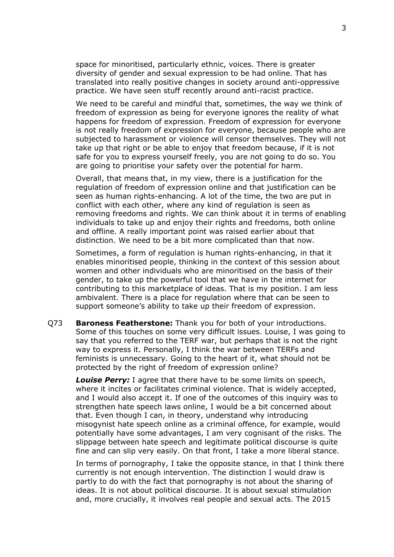space for minoritised, particularly ethnic, voices. There is greater diversity of gender and sexual expression to be had online. That has translated into really positive changes in society around anti-oppressive practice. We have seen stuff recently around anti-racist practice.

We need to be careful and mindful that, sometimes, the way we think of freedom of expression as being for everyone ignores the reality of what happens for freedom of expression. Freedom of expression for everyone is not really freedom of expression for everyone, because people who are subjected to harassment or violence will censor themselves. They will not take up that right or be able to enjoy that freedom because, if it is not safe for you to express yourself freely, you are not going to do so. You are going to prioritise your safety over the potential for harm.

Overall, that means that, in my view, there is a justification for the regulation of freedom of expression online and that justification can be seen as human rights-enhancing. A lot of the time, the two are put in conflict with each other, where any kind of regulation is seen as removing freedoms and rights. We can think about it in terms of enabling individuals to take up and enjoy their rights and freedoms, both online and offline. A really important point was raised earlier about that distinction. We need to be a bit more complicated than that now.

Sometimes, a form of regulation is human rights-enhancing, in that it enables minoritised people, thinking in the context of this session about women and other individuals who are minoritised on the basis of their gender, to take up the powerful tool that we have in the internet for contributing to this marketplace of ideas. That is my position. I am less ambivalent. There is a place for regulation where that can be seen to support someone's ability to take up their freedom of expression.

Q73 **Baroness Featherstone:** Thank you for both of your introductions. Some of this touches on some very difficult issues. Louise, I was going to say that you referred to the TERF war, but perhaps that is not the right way to express it. Personally, I think the war between TERFs and feminists is unnecessary. Going to the heart of it, what should not be protected by the right of freedom of expression online?

*Louise Perry:* I agree that there have to be some limits on speech, where it incites or facilitates criminal violence. That is widely accepted, and I would also accept it. If one of the outcomes of this inquiry was to strengthen hate speech laws online, I would be a bit concerned about that. Even though I can, in theory, understand why introducing misogynist hate speech online as a criminal offence, for example, would potentially have some advantages, I am very cognisant of the risks. The slippage between hate speech and legitimate political discourse is quite fine and can slip very easily. On that front, I take a more liberal stance.

In terms of pornography, I take the opposite stance, in that I think there currently is not enough intervention. The distinction I would draw is partly to do with the fact that pornography is not about the sharing of ideas. It is not about political discourse. It is about sexual stimulation and, more crucially, it involves real people and sexual acts. The 2015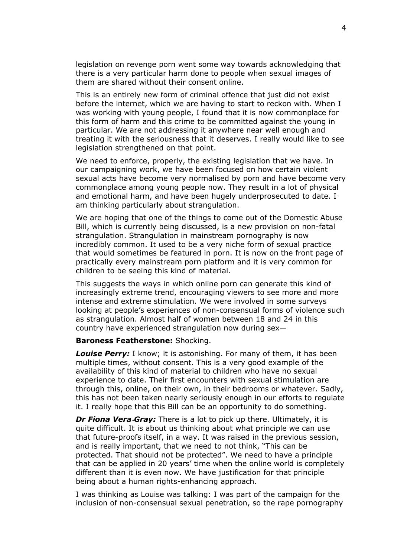legislation on revenge porn went some way towards acknowledging that there is a very particular harm done to people when sexual images of them are shared without their consent online.

This is an entirely new form of criminal offence that just did not exist before the internet, which we are having to start to reckon with. When I was working with young people, I found that it is now commonplace for this form of harm and this crime to be committed against the young in particular. We are not addressing it anywhere near well enough and treating it with the seriousness that it deserves. I really would like to see legislation strengthened on that point.

We need to enforce, properly, the existing legislation that we have. In our campaigning work, we have been focused on how certain violent sexual acts have become very normalised by porn and have become very commonplace among young people now. They result in a lot of physical and emotional harm, and have been hugely underprosecuted to date. I am thinking particularly about strangulation.

We are hoping that one of the things to come out of the Domestic Abuse Bill, which is currently being discussed, is a new provision on non-fatal strangulation. Strangulation in mainstream pornography is now incredibly common. It used to be a very niche form of sexual practice that would sometimes be featured in porn. It is now on the front page of practically every mainstream porn platform and it is very common for children to be seeing this kind of material.

This suggests the ways in which online porn can generate this kind of increasingly extreme trend, encouraging viewers to see more and more intense and extreme stimulation. We were involved in some surveys looking at people's experiences of non-consensual forms of violence such as strangulation. Almost half of women between 18 and 24 in this country have experienced strangulation now during sex—

#### **Baroness Featherstone:** Shocking.

*Louise Perry:* I know; it is astonishing. For many of them, it has been multiple times, without consent. This is a very good example of the availability of this kind of material to children who have no sexual experience to date. Their first encounters with sexual stimulation are through this, online, on their own, in their bedrooms or whatever. Sadly, this has not been taken nearly seriously enough in our efforts to regulate it. I really hope that this Bill can be an opportunity to do something.

*Dr Fiona Vera‑Gray:* There is a lot to pick up there. Ultimately, it is quite difficult. It is about us thinking about what principle we can use that future-proofs itself, in a way. It was raised in the previous session, and is really important, that we need to not think, "This can be protected. That should not be protected". We need to have a principle that can be applied in 20 years' time when the online world is completely different than it is even now. We have justification for that principle being about a human rights-enhancing approach.

I was thinking as Louise was talking: I was part of the campaign for the inclusion of non-consensual sexual penetration, so the rape pornography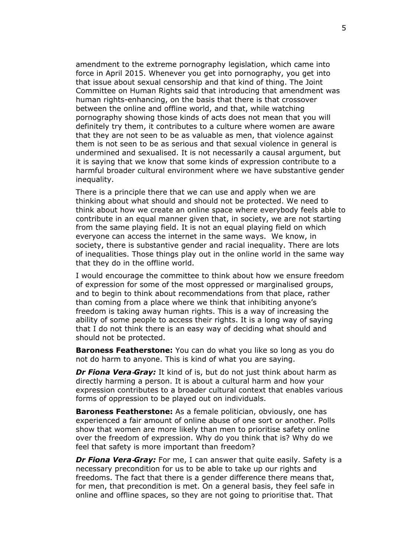amendment to the extreme pornography legislation, which came into force in April 2015. Whenever you get into pornography, you get into that issue about sexual censorship and that kind of thing. The Joint Committee on Human Rights said that introducing that amendment was human rights-enhancing, on the basis that there is that crossover between the online and offline world, and that, while watching pornography showing those kinds of acts does not mean that you will definitely try them, it contributes to a culture where women are aware that they are not seen to be as valuable as men, that violence against them is not seen to be as serious and that sexual violence in general is undermined and sexualised. It is not necessarily a causal argument, but it is saying that we know that some kinds of expression contribute to a harmful broader cultural environment where we have substantive gender inequality.

There is a principle there that we can use and apply when we are thinking about what should and should not be protected. We need to think about how we create an online space where everybody feels able to contribute in an equal manner given that, in society, we are not starting from the same playing field. It is not an equal playing field on which everyone can access the internet in the same ways. We know, in society, there is substantive gender and racial inequality. There are lots of inequalities. Those things play out in the online world in the same way that they do in the offline world.

I would encourage the committee to think about how we ensure freedom of expression for some of the most oppressed or marginalised groups, and to begin to think about recommendations from that place, rather than coming from a place where we think that inhibiting anyone's freedom is taking away human rights. This is a way of increasing the ability of some people to access their rights. It is a long way of saying that I do not think there is an easy way of deciding what should and should not be protected.

**Baroness Featherstone:** You can do what you like so long as you do not do harm to anyone. This is kind of what you are saying.

**Dr Fiona Vera-Gray:** It kind of is, but do not just think about harm as directly harming a person. It is about a cultural harm and how your expression contributes to a broader cultural context that enables various forms of oppression to be played out on individuals.

**Baroness Featherstone:** As a female politician, obviously, one has experienced a fair amount of online abuse of one sort or another. Polls show that women are more likely than men to prioritise safety online over the freedom of expression. Why do you think that is? Why do we feel that safety is more important than freedom?

*Dr Fiona Vera<sup></sup>-Gray:* For me, I can answer that quite easily. Safety is a necessary precondition for us to be able to take up our rights and freedoms. The fact that there is a gender difference there means that, for men, that precondition is met. On a general basis, they feel safe in online and offline spaces, so they are not going to prioritise that. That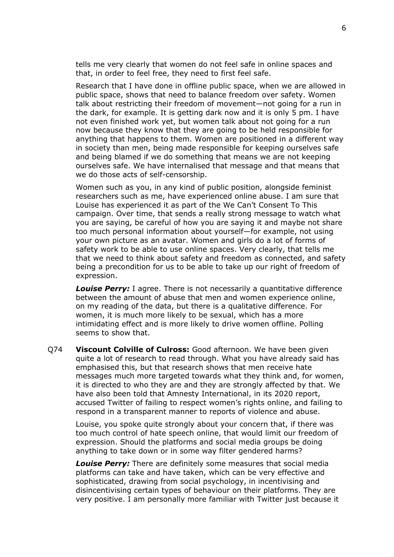tells me very clearly that women do not feel safe in online spaces and that, in order to feel free, they need to first feel safe.

Research that I have done in offline public space, when we are allowed in public space, shows that need to balance freedom over safety. Women talk about restricting their freedom of movement—not going for a run in the dark, for example. It is getting dark now and it is only 5 pm. I have not even finished work yet, but women talk about not going for a run now because they know that they are going to be held responsible for anything that happens to them. Women are positioned in a different way in society than men, being made responsible for keeping ourselves safe and being blamed if we do something that means we are not keeping ourselves safe. We have internalised that message and that means that we do those acts of self-censorship.

Women such as you, in any kind of public position, alongside feminist researchers such as me, have experienced online abuse. I am sure that Louise has experienced it as part of the We Can't Consent To This campaign. Over time, that sends a really strong message to watch what you are saying, be careful of how you are saying it and maybe not share too much personal information about yourself—for example, not using your own picture as an avatar. Women and girls do a lot of forms of safety work to be able to use online spaces. Very clearly, that tells me that we need to think about safety and freedom as connected, and safety being a precondition for us to be able to take up our right of freedom of expression.

*Louise Perry:* I agree. There is not necessarily a quantitative difference between the amount of abuse that men and women experience online, on my reading of the data, but there is a qualitative difference. For women, it is much more likely to be sexual, which has a more intimidating effect and is more likely to drive women offline. Polling seems to show that.

Q74 **Viscount Colville of Culross:** Good afternoon. We have been given quite a lot of research to read through. What you have already said has emphasised this, but that research shows that men receive hate messages much more targeted towards what they think and, for women, it is directed to who they are and they are strongly affected by that. We have also been told that Amnesty International, in its 2020 report, accused Twitter of failing to respect women's rights online, and failing to respond in a transparent manner to reports of violence and abuse.

Louise, you spoke quite strongly about your concern that, if there was too much control of hate speech online, that would limit our freedom of expression. Should the platforms and social media groups be doing anything to take down or in some way filter gendered harms?

*Louise Perry:* There are definitely some measures that social media platforms can take and have taken, which can be very effective and sophisticated, drawing from social psychology, in incentivising and disincentivising certain types of behaviour on their platforms. They are very positive. I am personally more familiar with Twitter just because it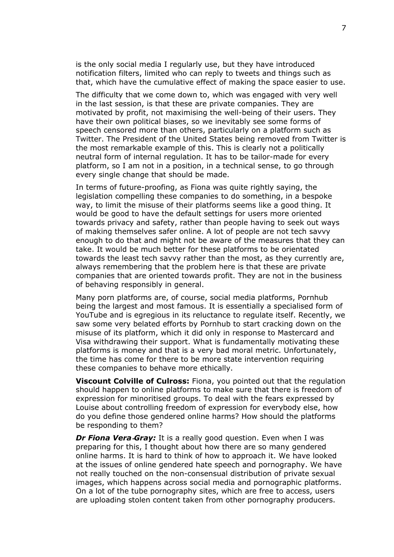is the only social media I regularly use, but they have introduced notification filters, limited who can reply to tweets and things such as that, which have the cumulative effect of making the space easier to use.

The difficulty that we come down to, which was engaged with very well in the last session, is that these are private companies. They are motivated by profit, not maximising the well-being of their users. They have their own political biases, so we inevitably see some forms of speech censored more than others, particularly on a platform such as Twitter. The President of the United States being removed from Twitter is the most remarkable example of this. This is clearly not a politically neutral form of internal regulation. It has to be tailor-made for every platform, so I am not in a position, in a technical sense, to go through every single change that should be made.

In terms of future-proofing, as Fiona was quite rightly saying, the legislation compelling these companies to do something, in a bespoke way, to limit the misuse of their platforms seems like a good thing. It would be good to have the default settings for users more oriented towards privacy and safety, rather than people having to seek out ways of making themselves safer online. A lot of people are not tech savvy enough to do that and might not be aware of the measures that they can take. It would be much better for these platforms to be orientated towards the least tech savvy rather than the most, as they currently are, always remembering that the problem here is that these are private companies that are oriented towards profit. They are not in the business of behaving responsibly in general.

Many porn platforms are, of course, social media platforms, Pornhub being the largest and most famous. It is essentially a specialised form of YouTube and is egregious in its reluctance to regulate itself. Recently, we saw some very belated efforts by Pornhub to start cracking down on the misuse of its platform, which it did only in response to Mastercard and Visa withdrawing their support. What is fundamentally motivating these platforms is money and that is a very bad moral metric. Unfortunately, the time has come for there to be more state intervention requiring these companies to behave more ethically.

**Viscount Colville of Culross:** Fiona, you pointed out that the regulation should happen to online platforms to make sure that there is freedom of expression for minoritised groups. To deal with the fears expressed by Louise about controlling freedom of expression for everybody else, how do you define those gendered online harms? How should the platforms be responding to them?

*Dr Fiona Vera‑Gray:* It is a really good question. Even when I was preparing for this, I thought about how there are so many gendered online harms. It is hard to think of how to approach it. We have looked at the issues of online gendered hate speech and pornography. We have not really touched on the non-consensual distribution of private sexual images, which happens across social media and pornographic platforms. On a lot of the tube pornography sites, which are free to access, users are uploading stolen content taken from other pornography producers.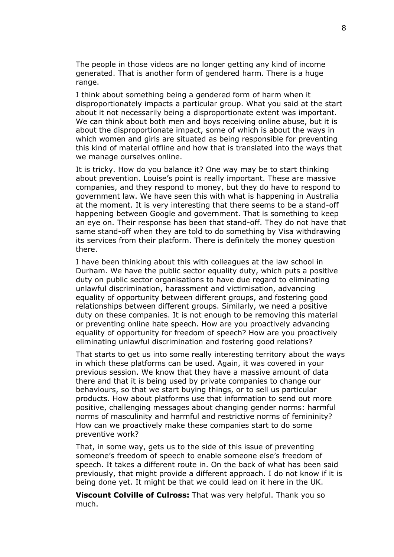The people in those videos are no longer getting any kind of income generated. That is another form of gendered harm. There is a huge range.

I think about something being a gendered form of harm when it disproportionately impacts a particular group. What you said at the start about it not necessarily being a disproportionate extent was important. We can think about both men and boys receiving online abuse, but it is about the disproportionate impact, some of which is about the ways in which women and girls are situated as being responsible for preventing this kind of material offline and how that is translated into the ways that we manage ourselves online.

It is tricky. How do you balance it? One way may be to start thinking about prevention. Louise's point is really important. These are massive companies, and they respond to money, but they do have to respond to government law. We have seen this with what is happening in Australia at the moment. It is very interesting that there seems to be a stand-off happening between Google and government. That is something to keep an eye on. Their response has been that stand-off. They do not have that same stand-off when they are told to do something by Visa withdrawing its services from their platform. There is definitely the money question there.

I have been thinking about this with colleagues at the law school in Durham. We have the public sector equality duty, which puts a positive duty on public sector organisations to have due regard to eliminating unlawful discrimination, harassment and victimisation, advancing equality of opportunity between different groups, and fostering good relationships between different groups. Similarly, we need a positive duty on these companies. It is not enough to be removing this material or preventing online hate speech. How are you proactively advancing equality of opportunity for freedom of speech? How are you proactively eliminating unlawful discrimination and fostering good relations?

That starts to get us into some really interesting territory about the ways in which these platforms can be used. Again, it was covered in your previous session. We know that they have a massive amount of data there and that it is being used by private companies to change our behaviours, so that we start buying things, or to sell us particular products. How about platforms use that information to send out more positive, challenging messages about changing gender norms: harmful norms of masculinity and harmful and restrictive norms of femininity? How can we proactively make these companies start to do some preventive work?

That, in some way, gets us to the side of this issue of preventing someone's freedom of speech to enable someone else's freedom of speech. It takes a different route in. On the back of what has been said previously, that might provide a different approach. I do not know if it is being done yet. It might be that we could lead on it here in the UK.

**Viscount Colville of Culross:** That was very helpful. Thank you so much.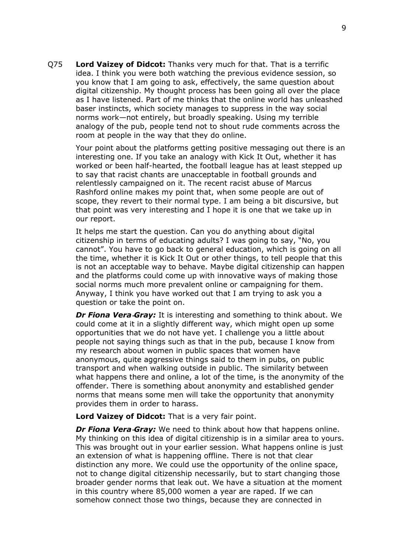Q75 **Lord Vaizey of Didcot:** Thanks very much for that. That is a terrific idea. I think you were both watching the previous evidence session, so you know that I am going to ask, effectively, the same question about digital citizenship. My thought process has been going all over the place as I have listened. Part of me thinks that the online world has unleashed baser instincts, which society manages to suppress in the way social norms work—not entirely, but broadly speaking. Using my terrible analogy of the pub, people tend not to shout rude comments across the room at people in the way that they do online.

Your point about the platforms getting positive messaging out there is an interesting one. If you take an analogy with Kick It Out, whether it has worked or been half-hearted, the football league has at least stepped up to say that racist chants are unacceptable in football grounds and relentlessly campaigned on it. The recent racist abuse of Marcus Rashford online makes my point that, when some people are out of scope, they revert to their normal type. I am being a bit discursive, but that point was very interesting and I hope it is one that we take up in our report.

It helps me start the question. Can you do anything about digital citizenship in terms of educating adults? I was going to say, "No, you cannot". You have to go back to general education, which is going on all the time, whether it is Kick It Out or other things, to tell people that this is not an acceptable way to behave. Maybe digital citizenship can happen and the platforms could come up with innovative ways of making those social norms much more prevalent online or campaigning for them. Anyway, I think you have worked out that I am trying to ask you a question or take the point on.

*Dr Fiona Vera‑Gray:* It is interesting and something to think about. We could come at it in a slightly different way, which might open up some opportunities that we do not have yet. I challenge you a little about people not saying things such as that in the pub, because I know from my research about women in public spaces that women have anonymous, quite aggressive things said to them in pubs, on public transport and when walking outside in public. The similarity between what happens there and online, a lot of the time, is the anonymity of the offender. There is something about anonymity and established gender norms that means some men will take the opportunity that anonymity provides them in order to harass.

**Lord Vaizey of Didcot:** That is a very fair point.

*Dr Fiona Vera-Gray:* We need to think about how that happens online. My thinking on this idea of digital citizenship is in a similar area to yours. This was brought out in your earlier session. What happens online is just an extension of what is happening offline. There is not that clear distinction any more. We could use the opportunity of the online space, not to change digital citizenship necessarily, but to start changing those broader gender norms that leak out. We have a situation at the moment in this country where 85,000 women a year are raped. If we can somehow connect those two things, because they are connected in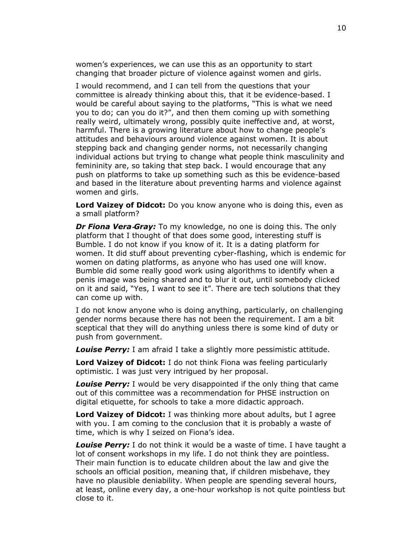women's experiences, we can use this as an opportunity to start changing that broader picture of violence against women and girls.

I would recommend, and I can tell from the questions that your committee is already thinking about this, that it be evidence-based. I would be careful about saying to the platforms, "This is what we need you to do; can you do it?", and then them coming up with something really weird, ultimately wrong, possibly quite ineffective and, at worst, harmful. There is a growing literature about how to change people's attitudes and behaviours around violence against women. It is about stepping back and changing gender norms, not necessarily changing individual actions but trying to change what people think masculinity and femininity are, so taking that step back. I would encourage that any push on platforms to take up something such as this be evidence-based and based in the literature about preventing harms and violence against women and girls.

**Lord Vaizey of Didcot:** Do you know anyone who is doing this, even as a small platform?

*Dr Fiona Vera-Gray:* To my knowledge, no one is doing this. The only platform that I thought of that does some good, interesting stuff is Bumble. I do not know if you know of it. It is a dating platform for women. It did stuff about preventing cyber-flashing, which is endemic for women on dating platforms, as anyone who has used one will know. Bumble did some really good work using algorithms to identify when a penis image was being shared and to blur it out, until somebody clicked on it and said, "Yes, I want to see it". There are tech solutions that they can come up with.

I do not know anyone who is doing anything, particularly, on challenging gender norms because there has not been the requirement. I am a bit sceptical that they will do anything unless there is some kind of duty or push from government.

*Louise Perry:* I am afraid I take a slightly more pessimistic attitude.

**Lord Vaizey of Didcot:** I do not think Fiona was feeling particularly optimistic. I was just very intrigued by her proposal.

*Louise Perry:* I would be very disappointed if the only thing that came out of this committee was a recommendation for PHSE instruction on digital etiquette, for schools to take a more didactic approach.

**Lord Vaizey of Didcot:** I was thinking more about adults, but I agree with you. I am coming to the conclusion that it is probably a waste of time, which is why I seized on Fiona's idea.

*Louise Perry:* I do not think it would be a waste of time. I have taught a lot of consent workshops in my life. I do not think they are pointless. Their main function is to educate children about the law and give the schools an official position, meaning that, if children misbehave, they have no plausible deniability. When people are spending several hours, at least, online every day, a one-hour workshop is not quite pointless but close to it.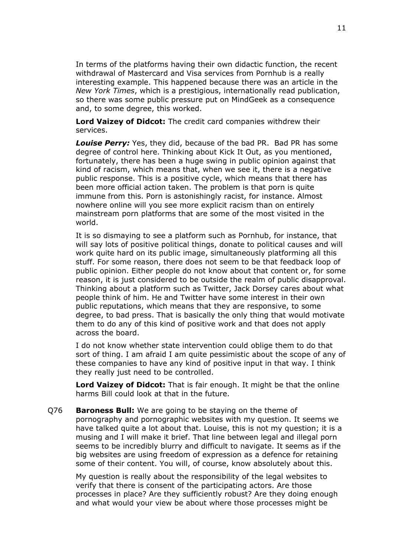In terms of the platforms having their own didactic function, the recent withdrawal of Mastercard and Visa services from Pornhub is a really interesting example. This happened because there was an article in the *New York Times*, which is a prestigious, internationally read publication, so there was some public pressure put on MindGeek as a consequence and, to some degree, this worked.

**Lord Vaizey of Didcot:** The credit card companies withdrew their services.

*Louise Perry:* Yes, they did, because of the bad PR. Bad PR has some degree of control here. Thinking about Kick It Out, as you mentioned, fortunately, there has been a huge swing in public opinion against that kind of racism, which means that, when we see it, there is a negative public response. This is a positive cycle, which means that there has been more official action taken. The problem is that porn is quite immune from this. Porn is astonishingly racist, for instance. Almost nowhere online will you see more explicit racism than on entirely mainstream porn platforms that are some of the most visited in the world.

It is so dismaying to see a platform such as Pornhub, for instance, that will say lots of positive political things, donate to political causes and will work quite hard on its public image, simultaneously platforming all this stuff. For some reason, there does not seem to be that feedback loop of public opinion. Either people do not know about that content or, for some reason, it is just considered to be outside the realm of public disapproval. Thinking about a platform such as Twitter, Jack Dorsey cares about what people think of him. He and Twitter have some interest in their own public reputations, which means that they are responsive, to some degree, to bad press. That is basically the only thing that would motivate them to do any of this kind of positive work and that does not apply across the board.

I do not know whether state intervention could oblige them to do that sort of thing. I am afraid I am quite pessimistic about the scope of any of these companies to have any kind of positive input in that way. I think they really just need to be controlled.

**Lord Vaizey of Didcot:** That is fair enough. It might be that the online harms Bill could look at that in the future.

Q76 **Baroness Bull:** We are going to be staying on the theme of pornography and pornographic websites with my question. It seems we have talked quite a lot about that. Louise, this is not my question; it is a musing and I will make it brief. That line between legal and illegal porn seems to be incredibly blurry and difficult to navigate. It seems as if the big websites are using freedom of expression as a defence for retaining some of their content. You will, of course, know absolutely about this.

My question is really about the responsibility of the legal websites to verify that there is consent of the participating actors. Are those processes in place? Are they sufficiently robust? Are they doing enough and what would your view be about where those processes might be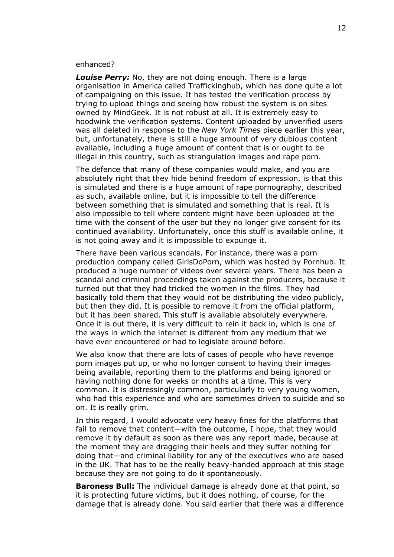#### enhanced?

*Louise Perry:* No, they are not doing enough. There is a large organisation in America called Traffickinghub, which has done quite a lot of campaigning on this issue. It has tested the verification process by trying to upload things and seeing how robust the system is on sites owned by MindGeek. It is not robust at all. It is extremely easy to hoodwink the verification systems. Content uploaded by unverified users was all deleted in response to the *New York Times* piece earlier this year, but, unfortunately, there is still a huge amount of very dubious content available, including a huge amount of content that is or ought to be illegal in this country, such as strangulation images and rape porn.

The defence that many of these companies would make, and you are absolutely right that they hide behind freedom of expression, is that this is simulated and there is a huge amount of rape pornography, described as such, available online, but it is impossible to tell the difference between something that is simulated and something that is real. It is also impossible to tell where content might have been uploaded at the time with the consent of the user but they no longer give consent for its continued availability. Unfortunately, once this stuff is available online, it is not going away and it is impossible to expunge it.

There have been various scandals. For instance, there was a porn production company called GirlsDoPorn, which was hosted by Pornhub. It produced a huge number of videos over several years. There has been a scandal and criminal proceedings taken against the producers, because it turned out that they had tricked the women in the films. They had basically told them that they would not be distributing the video publicly, but then they did. It is possible to remove it from the official platform, but it has been shared. This stuff is available absolutely everywhere. Once it is out there, it is very difficult to rein it back in, which is one of the ways in which the internet is different from any medium that we have ever encountered or had to legislate around before.

We also know that there are lots of cases of people who have revenge porn images put up, or who no longer consent to having their images being available, reporting them to the platforms and being ignored or having nothing done for weeks or months at a time. This is very common. It is distressingly common, particularly to very young women, who had this experience and who are sometimes driven to suicide and so on. It is really grim.

In this regard, I would advocate very heavy fines for the platforms that fail to remove that content—with the outcome, I hope, that they would remove it by default as soon as there was any report made, because at the moment they are dragging their heels and they suffer nothing for doing that—and criminal liability for any of the executives who are based in the UK. That has to be the really heavy-handed approach at this stage because they are not going to do it spontaneously.

**Baroness Bull:** The individual damage is already done at that point, so it is protecting future victims, but it does nothing, of course, for the damage that is already done. You said earlier that there was a difference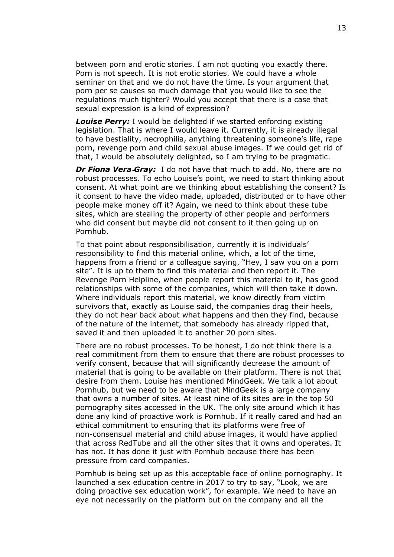between porn and erotic stories. I am not quoting you exactly there. Porn is not speech. It is not erotic stories. We could have a whole seminar on that and we do not have the time. Is your argument that porn per se causes so much damage that you would like to see the regulations much tighter? Would you accept that there is a case that sexual expression is a kind of expression?

*Louise Perry:* I would be delighted if we started enforcing existing legislation. That is where I would leave it. Currently, it is already illegal to have bestiality, necrophilia, anything threatening someone's life, rape porn, revenge porn and child sexual abuse images. If we could get rid of that, I would be absolutely delighted, so I am trying to be pragmatic.

*Dr Fiona Vera-Gray:* I do not have that much to add. No, there are no robust processes. To echo Louise's point, we need to start thinking about consent. At what point are we thinking about establishing the consent? Is it consent to have the video made, uploaded, distributed or to have other people make money off it? Again, we need to think about these tube sites, which are stealing the property of other people and performers who did consent but maybe did not consent to it then going up on Pornhub.

To that point about responsibilisation, currently it is individuals' responsibility to find this material online, which, a lot of the time, happens from a friend or a colleague saying, "Hey, I saw you on a porn site". It is up to them to find this material and then report it. The Revenge Porn Helpline, when people report this material to it, has good relationships with some of the companies, which will then take it down. Where individuals report this material, we know directly from victim survivors that, exactly as Louise said, the companies drag their heels, they do not hear back about what happens and then they find, because of the nature of the internet, that somebody has already ripped that, saved it and then uploaded it to another 20 porn sites.

There are no robust processes. To be honest, I do not think there is a real commitment from them to ensure that there are robust processes to verify consent, because that will significantly decrease the amount of material that is going to be available on their platform. There is not that desire from them. Louise has mentioned MindGeek. We talk a lot about Pornhub, but we need to be aware that MindGeek is a large company that owns a number of sites. At least nine of its sites are in the top 50 pornography sites accessed in the UK. The only site around which it has done any kind of proactive work is Pornhub. If it really cared and had an ethical commitment to ensuring that its platforms were free of non-consensual material and child abuse images, it would have applied that across RedTube and all the other sites that it owns and operates. It has not. It has done it just with Pornhub because there has been pressure from card companies.

Pornhub is being set up as this acceptable face of online pornography. It launched a sex education centre in 2017 to try to say, "Look, we are doing proactive sex education work", for example. We need to have an eye not necessarily on the platform but on the company and all the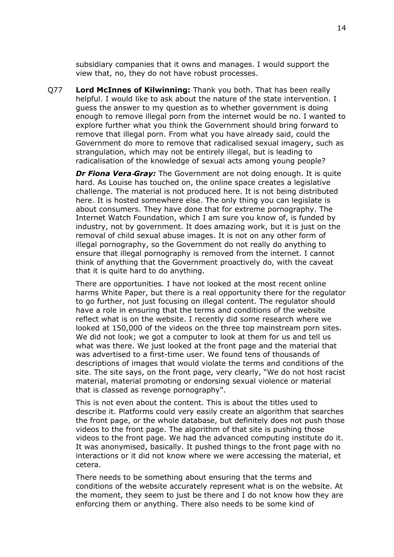subsidiary companies that it owns and manages. I would support the view that, no, they do not have robust processes.

Q77 **Lord McInnes of Kilwinning:** Thank you both. That has been really helpful. I would like to ask about the nature of the state intervention. I guess the answer to my question as to whether government is doing enough to remove illegal porn from the internet would be no. I wanted to explore further what you think the Government should bring forward to remove that illegal porn. From what you have already said, could the Government do more to remove that radicalised sexual imagery, such as strangulation, which may not be entirely illegal, but is leading to radicalisation of the knowledge of sexual acts among young people?

*Dr Fiona Vera‑Gray:* The Government are not doing enough. It is quite hard. As Louise has touched on, the online space creates a legislative challenge. The material is not produced here. It is not being distributed here. It is hosted somewhere else. The only thing you can legislate is about consumers. They have done that for extreme pornography. The Internet Watch Foundation, which I am sure you know of, is funded by industry, not by government. It does amazing work, but it is just on the removal of child sexual abuse images. It is not on any other form of illegal pornography, so the Government do not really do anything to ensure that illegal pornography is removed from the internet. I cannot think of anything that the Government proactively do, with the caveat that it is quite hard to do anything.

There are opportunities. I have not looked at the most recent online harms White Paper, but there is a real opportunity there for the regulator to go further, not just focusing on illegal content. The regulator should have a role in ensuring that the terms and conditions of the website reflect what is on the website. I recently did some research where we looked at 150,000 of the videos on the three top mainstream porn sites. We did not look; we got a computer to look at them for us and tell us what was there. We just looked at the front page and the material that was advertised to a first-time user. We found tens of thousands of descriptions of images that would violate the terms and conditions of the site. The site says, on the front page, very clearly, "We do not host racist material, material promoting or endorsing sexual violence or material that is classed as revenge pornography".

This is not even about the content. This is about the titles used to describe it. Platforms could very easily create an algorithm that searches the front page, or the whole database, but definitely does not push those videos to the front page. The algorithm of that site is pushing those videos to the front page. We had the advanced computing institute do it. It was anonymised, basically. It pushed things to the front page with no interactions or it did not know where we were accessing the material, et cetera.

There needs to be something about ensuring that the terms and conditions of the website accurately represent what is on the website. At the moment, they seem to just be there and I do not know how they are enforcing them or anything. There also needs to be some kind of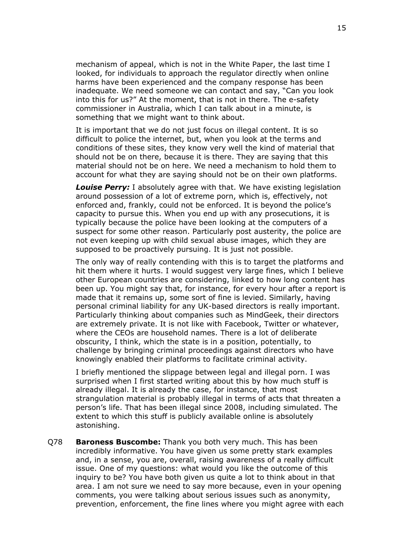mechanism of appeal, which is not in the White Paper, the last time I looked, for individuals to approach the regulator directly when online harms have been experienced and the company response has been inadequate. We need someone we can contact and say, "Can you look into this for us?" At the moment, that is not in there. The e-safety commissioner in Australia, which I can talk about in a minute, is something that we might want to think about.

It is important that we do not just focus on illegal content. It is so difficult to police the internet, but, when you look at the terms and conditions of these sites, they know very well the kind of material that should not be on there, because it is there. They are saying that this material should not be on here. We need a mechanism to hold them to account for what they are saying should not be on their own platforms.

*Louise Perry:* I absolutely agree with that. We have existing legislation around possession of a lot of extreme porn, which is, effectively, not enforced and, frankly, could not be enforced. It is beyond the police's capacity to pursue this. When you end up with any prosecutions, it is typically because the police have been looking at the computers of a suspect for some other reason. Particularly post austerity, the police are not even keeping up with child sexual abuse images, which they are supposed to be proactively pursuing. It is just not possible.

The only way of really contending with this is to target the platforms and hit them where it hurts. I would suggest very large fines, which I believe other European countries are considering, linked to how long content has been up. You might say that, for instance, for every hour after a report is made that it remains up, some sort of fine is levied. Similarly, having personal criminal liability for any UK-based directors is really important. Particularly thinking about companies such as MindGeek, their directors are extremely private. It is not like with Facebook, Twitter or whatever, where the CEOs are household names. There is a lot of deliberate obscurity, I think, which the state is in a position, potentially, to challenge by bringing criminal proceedings against directors who have knowingly enabled their platforms to facilitate criminal activity.

I briefly mentioned the slippage between legal and illegal porn. I was surprised when I first started writing about this by how much stuff is already illegal. It is already the case, for instance, that most strangulation material is probably illegal in terms of acts that threaten a person's life. That has been illegal since 2008, including simulated. The extent to which this stuff is publicly available online is absolutely astonishing.

Q78 **Baroness Buscombe:** Thank you both very much. This has been incredibly informative. You have given us some pretty stark examples and, in a sense, you are, overall, raising awareness of a really difficult issue. One of my questions: what would you like the outcome of this inquiry to be? You have both given us quite a lot to think about in that area. I am not sure we need to say more because, even in your opening comments, you were talking about serious issues such as anonymity, prevention, enforcement, the fine lines where you might agree with each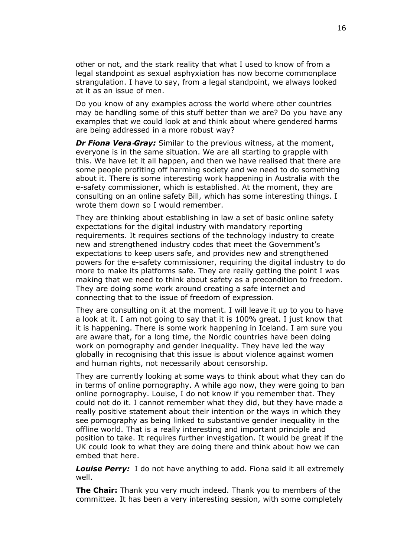other or not, and the stark reality that what I used to know of from a legal standpoint as sexual asphyxiation has now become commonplace strangulation. I have to say, from a legal standpoint, we always looked at it as an issue of men.

Do you know of any examples across the world where other countries may be handling some of this stuff better than we are? Do you have any examples that we could look at and think about where gendered harms are being addressed in a more robust way?

*Dr Fiona Vera‑Gray:* Similar to the previous witness, at the moment, everyone is in the same situation. We are all starting to grapple with this. We have let it all happen, and then we have realised that there are some people profiting off harming society and we need to do something about it. There is some interesting work happening in Australia with the e-safety commissioner, which is established. At the moment, they are consulting on an online safety Bill, which has some interesting things. I wrote them down so I would remember.

They are thinking about establishing in law a set of basic online safety expectations for the digital industry with mandatory reporting requirements. It requires sections of the technology industry to create new and strengthened industry codes that meet the Government's expectations to keep users safe, and provides new and strengthened powers for the e-safety commissioner, requiring the digital industry to do more to make its platforms safe. They are really getting the point I was making that we need to think about safety as a precondition to freedom. They are doing some work around creating a safe internet and connecting that to the issue of freedom of expression.

They are consulting on it at the moment. I will leave it up to you to have a look at it. I am not going to say that it is 100% great. I just know that it is happening. There is some work happening in Iceland. I am sure you are aware that, for a long time, the Nordic countries have been doing work on pornography and gender inequality. They have led the way globally in recognising that this issue is about violence against women and human rights, not necessarily about censorship.

They are currently looking at some ways to think about what they can do in terms of online pornography. A while ago now, they were going to ban online pornography. Louise, I do not know if you remember that. They could not do it. I cannot remember what they did, but they have made a really positive statement about their intention or the ways in which they see pornography as being linked to substantive gender inequality in the offline world. That is a really interesting and important principle and position to take. It requires further investigation. It would be great if the UK could look to what they are doing there and think about how we can embed that here.

*Louise Perry:* I do not have anything to add. Fiona said it all extremely well.

**The Chair:** Thank you very much indeed. Thank you to members of the committee. It has been a very interesting session, with some completely